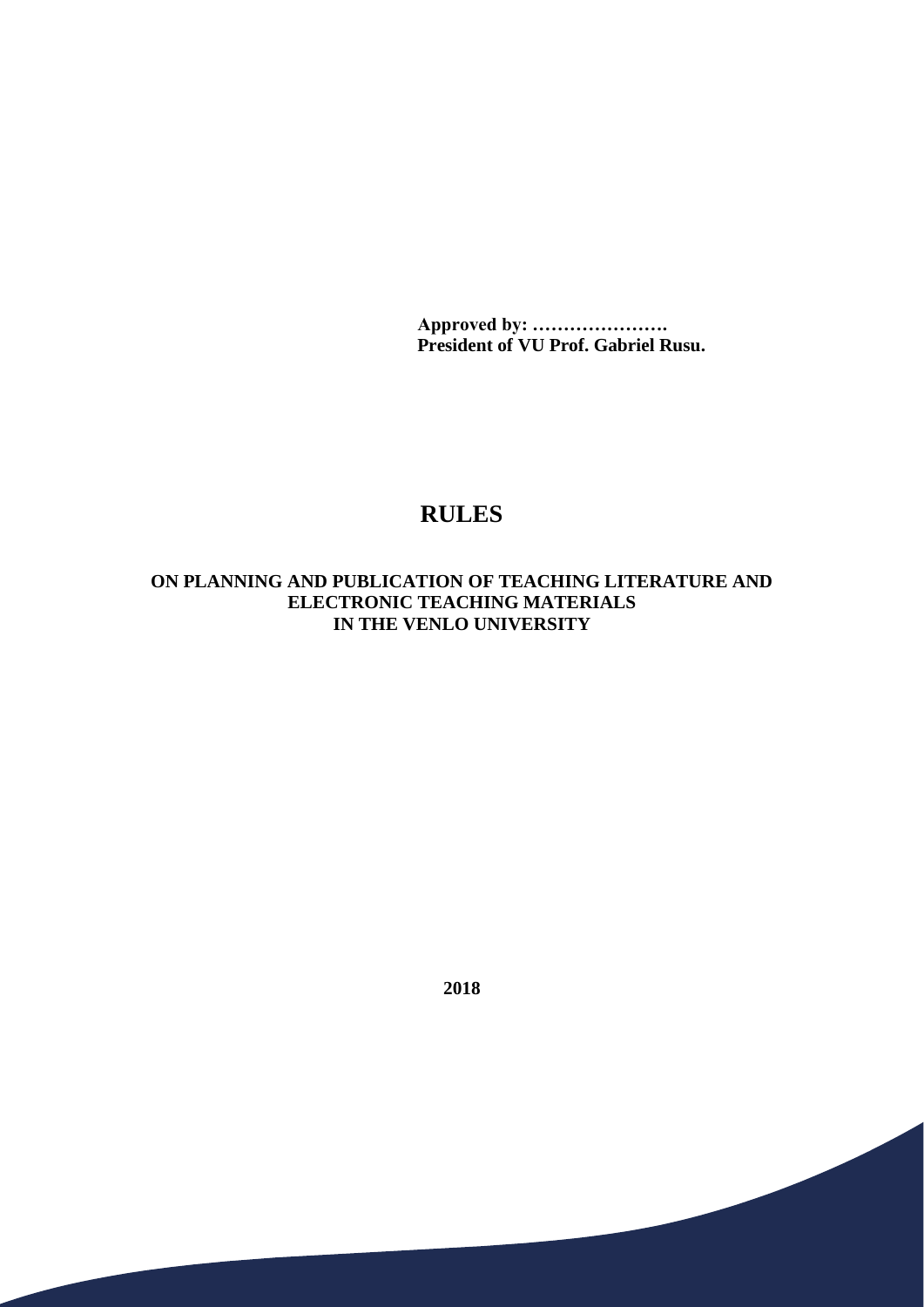**Approved by: …………………. President of VU Prof. Gabriel Rusu.**

## **RULES**

## **ON PLANNING AND PUBLICATION OF TEACHING LITERATURE AND ELECTRONIC TEACHING MATERIALS IN THE VENLO UNIVERSITY**

**2018**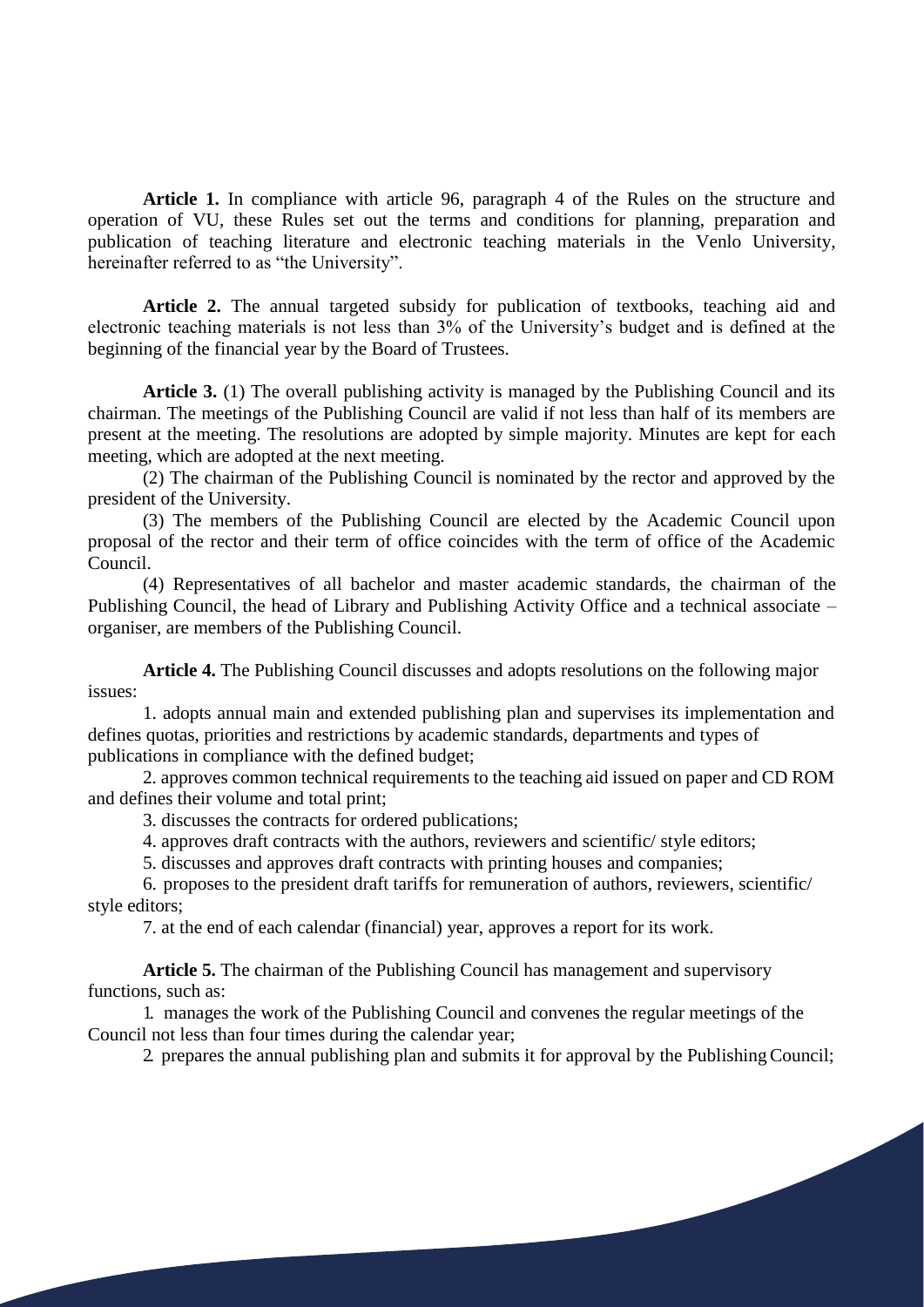**Article 1.** In compliance with article 96, paragraph 4 of the Rules on the structure and operation of VU, these Rules set out the terms and conditions for planning, preparation and publication of teaching literature and electronic teaching materials in the Venlo University, hereinafter referred to as "the University".

Article 2. The annual targeted subsidy for publication of textbooks, teaching aid and electronic teaching materials is not less than 3% of the University's budget and is defined at the beginning of the financial year by the Board of Trustees.

**Article 3.** (1) The overall publishing activity is managed by the Publishing Council and its chairman. The meetings of the Publishing Council are valid if not less than half of its members are present at the meeting. The resolutions are adopted by simple majority. Minutes are kept for each meeting, which are adopted at the next meeting.

(2) The chairman of the Publishing Council is nominated by the rector and approved by the president of the University.

(3) The members of the Publishing Council are elected by the Academic Council upon proposal of the rector and their term of office coincides with the term of office of the Academic Council.

(4) Representatives of all bachelor and master academic standards, the chairman of the Publishing Council, the head of Library and Publishing Activity Office and a technical associate – organiser, are members of the Publishing Council.

issues: **Article 4.** The Publishing Council discusses and adopts resolutions on the following major

1. adopts annual main and extended publishing plan and supervises its implementation and defines quotas, priorities and restrictions by academic standards, departments and types of publications in compliance with the defined budget;

2. approves common technical requirements to the teaching aid issued on paper and CD ROM and defines their volume and total print;

3. discusses the contracts for ordered publications;

4. approves draft contracts with the authors, reviewers and scientific/ style editors;

5. discusses and approves draft contracts with printing houses and companies;

6. proposes to the president draft tariffs for remuneration of authors, reviewers, scientific/ style editors;

7. at the end of each calendar (financial) year, approves a report for its work.

**Article 5.** The chairman of the Publishing Council has management and supervisory functions, such as:

1. manages the work of the Publishing Council and convenes the regular meetings of the Council not less than four times during the calendar year;

2. prepares the annual publishing plan and submits it for approval by the PublishingCouncil;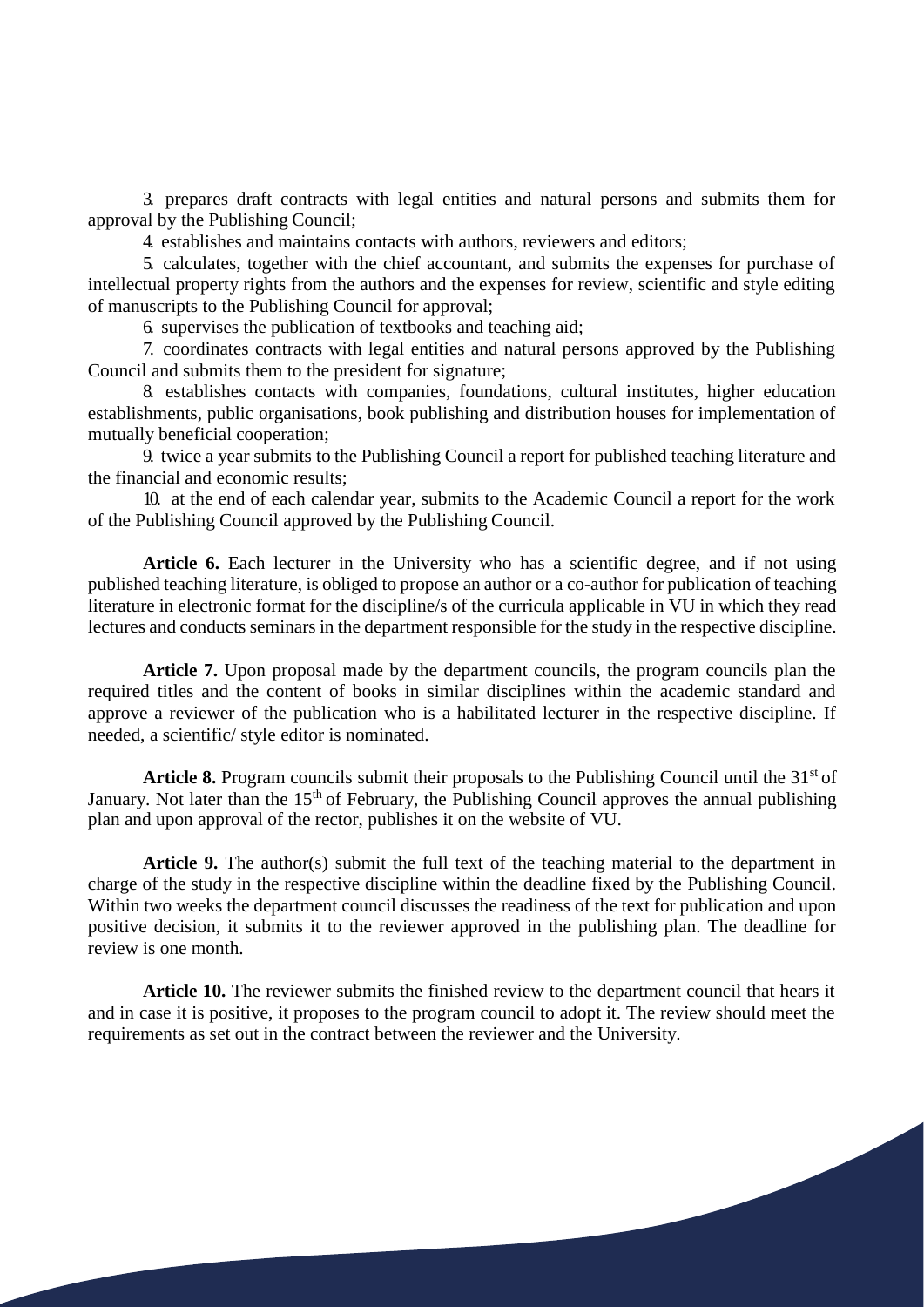3. prepares draft contracts with legal entities and natural persons and submits them for approval by the Publishing Council;

4. establishes and maintains contacts with authors, reviewers and editors;

5. calculates, together with the chief accountant, and submits the expenses for purchase of intellectual property rights from the authors and the expenses for review, scientific and style editing of manuscripts to the Publishing Council for approval;

6. supervises the publication of textbooks and teaching aid;

7. coordinates contracts with legal entities and natural persons approved by the Publishing Council and submits them to the president for signature;

8. establishes contacts with companies, foundations, cultural institutes, higher education establishments, public organisations, book publishing and distribution houses for implementation of mutually beneficial cooperation;

9. twice a year submits to the Publishing Council a report for published teaching literature and the financial and economic results;

10. at the end of each calendar year, submits to the Academic Council a report for the work of the Publishing Council approved by the Publishing Council.

**Article 6.** Each lecturer in the University who has a scientific degree, and if not using published teaching literature, is obliged to propose an author or a co-author for publication of teaching literature in electronic format for the discipline/s of the curricula applicable in VU in which they read lectures and conducts seminars in the department responsible for the study in the respective discipline.

**Article 7.** Upon proposal made by the department councils, the program councils plan the required titles and the content of books in similar disciplines within the academic standard and approve a reviewer of the publication who is a habilitated lecturer in the respective discipline. If needed, a scientific/ style editor is nominated.

Article 8. Program councils submit their proposals to the Publishing Council until the 31<sup>st</sup> of January. Not later than the  $15<sup>th</sup>$  of February, the Publishing Council approves the annual publishing plan and upon approval of the rector, publishes it on the website of VU.

Article 9. The author(s) submit the full text of the teaching material to the department in charge of the study in the respective discipline within the deadline fixed by the Publishing Council. Within two weeks the department council discusses the readiness of the text for publication and upon positive decision, it submits it to the reviewer approved in the publishing plan. The deadline for review is one month.

**Article 10.** The reviewer submits the finished review to the department council that hears it and in case it is positive, it proposes to the program council to adopt it. The review should meet the requirements as set out in the contract between the reviewer and the University.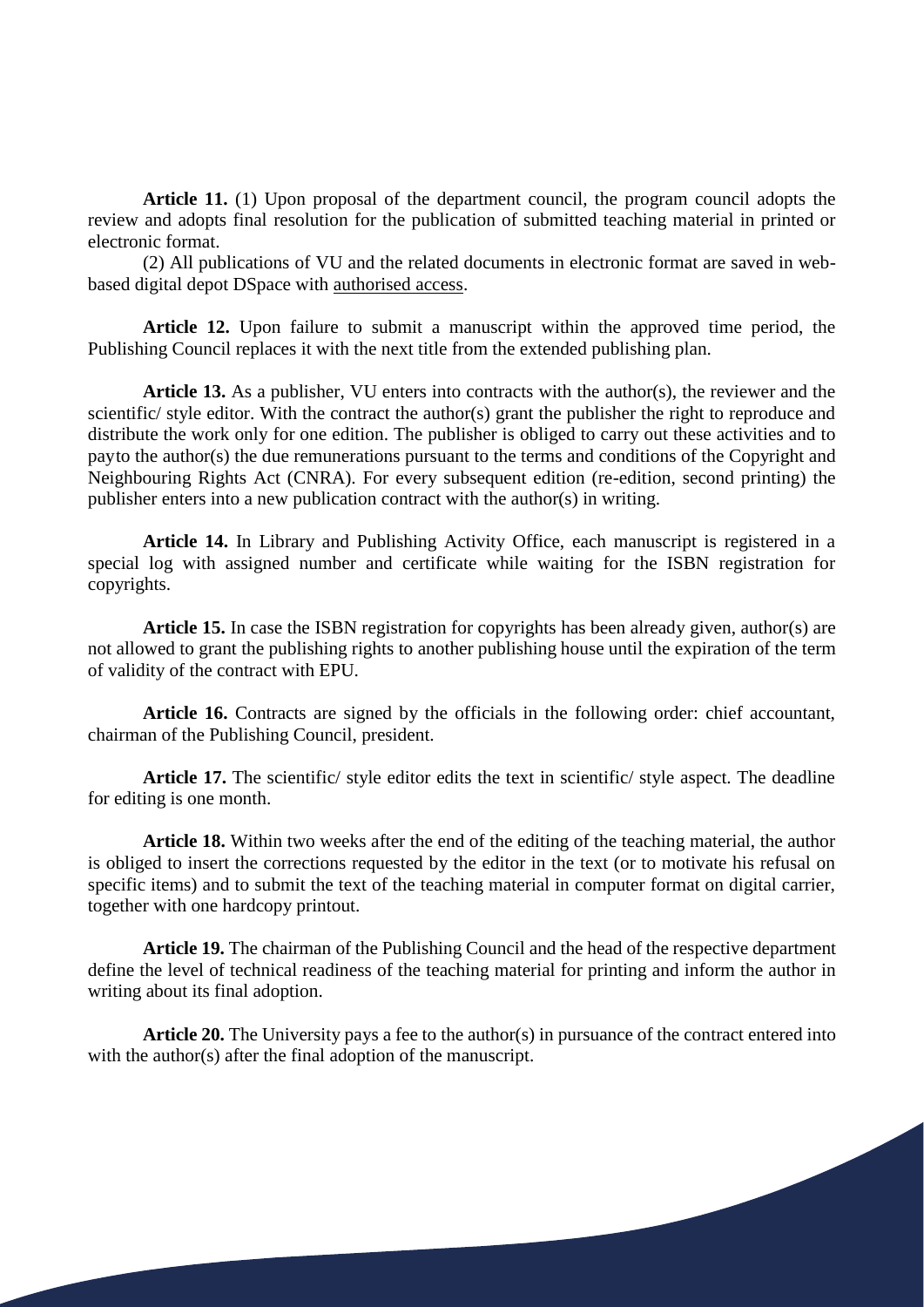Article 11. (1) Upon proposal of the department council, the program council adopts the review and adopts final resolution for the publication of submitted teaching material in printed or electronic format.

(2) All publications of VU and the related documents in electronic format are saved in webbased digital depot DSpace with authorised access.

**Article 12.** Upon failure to submit a manuscript within the approved time period, the Publishing Council replaces it with the next title from the extended publishing plan.

**Article 13.** As a publisher, VU enters into contracts with the author(s), the reviewer and the scientific/ style editor. With the contract the author(s) grant the publisher the right to reproduce and distribute the work only for one edition. The publisher is obliged to carry out these activities and to payto the author(s) the due remunerations pursuant to the terms and conditions of the Copyright and Neighbouring Rights Act (CNRA). For every subsequent edition (re-edition, second printing) the publisher enters into a new publication contract with the author(s) in writing.

**Article 14.** In Library and Publishing Activity Office, each manuscript is registered in a special log with assigned number and certificate while waiting for the ISBN registration for copyrights.

**Article 15.** In case the ISBN registration for copyrights has been already given, author(s) are not allowed to grant the publishing rights to another publishing house until the expiration of the term of validity of the contract with EPU.

Article 16. Contracts are signed by the officials in the following order: chief accountant, chairman of the Publishing Council, president.

**Article 17.** The scientific/ style editor edits the text in scientific/ style aspect. The deadline for editing is one month.

**Article 18.** Within two weeks after the end of the editing of the teaching material, the author is obliged to insert the corrections requested by the editor in the text (or to motivate his refusal on specific items) and to submit the text of the teaching material in computer format on digital carrier, together with one hardcopy printout.

**Article 19.** The chairman of the Publishing Council and the head of the respective department define the level of technical readiness of the teaching material for printing and inform the author in writing about its final adoption.

**Article 20.** The University pays a fee to the author(s) in pursuance of the contract entered into with the author(s) after the final adoption of the manuscript.